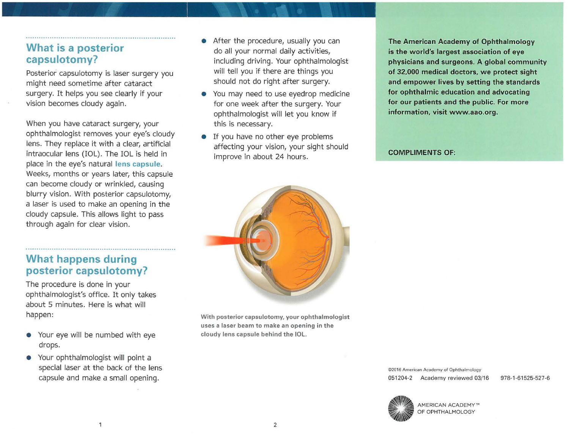#### **What is a posterior capsulotomy?**

Posterior capsulotomy is laser surgery you might need sometime after cataract surgery. It helps you see clearly if your vision becomes cloudy again.

When you have cataract surgery, your ophthalmologist removes your eye's cloudy lens. They replace it with a clear, artificial intraocular lens (IOL). The IOL is held in place in the eye's natural **lens capsule.**  Weeks, months or years later, this capsule can become cloudy or wrinkled, causing blurry vision. With posterior capsulotomy, a laser is used to make an opening in the cloudy capsule. This allows light to pass through again for clear vision.

### **What happens during posterior capsulotomy?**

The procedure is done in your ophthalmologist's office. It only takes about 5 minutes. Here is what will happen:

- Your eye will be numbed with eye drops.
- Your ophthalmologist will point a special laser at the back of the lens capsule and make a small opening.
- After the procedure, usually you can do all your normal daily activities, including driving. Your ophthalmologist will tell you if there are things you should not do right after surgery.
- You may need to use eyedrop medicine for one week after the surgery. Your ophthalmologist will let you know if this is necessary.
- If you have no other eye problems affecting your vision, your sight should improve in about 24 hours.

**The American Academy of Ophthalmology is the world's largest association of eye physicians and surgeons. A global community of 32,000 medical doctors, we protect sight and empower lives by setting the standards for ophthalmic education and advocating for our patients and the public. For more information, visit [www.aao.org.](www.aao.org)** 

#### **COMPLIMENTS OF:**



**With posterior capsulotomy, your ophthalmologist uses a laser beam to make an opening in the cloudy lens capsule behind the IOL.** 

> ©2016 American Academy of Ophthalmology 051204-2 Academy reviewed 03/16 978-1-61525-527-6



AMERICAN ACADEMY™ OF OPHTHALMOLOGY

 $\mathbf{1}$